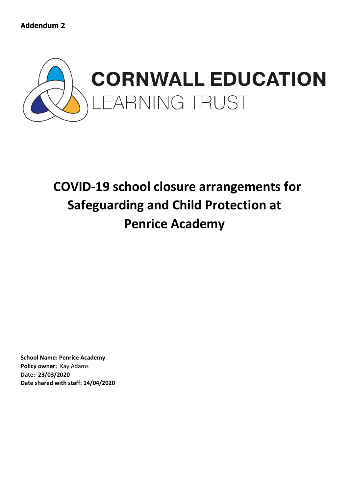

# **COVID-19 school closure arrangements for Safeguarding and Child Protection at Penrice Academy**

**School Name: Penrice Academy Policy owner:** Kay Adams **Date: 23/03/2020 Date shared with staff: 14/04/2020**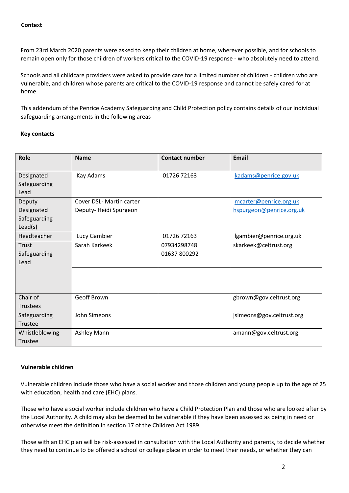From 23rd March 2020 parents were asked to keep their children at home, wherever possible, and for schools to remain open only for those children of workers critical to the COVID-19 response - who absolutely need to attend.

Schools and all childcare providers were asked to provide care for a limited number of children - children who are vulnerable, and children whose parents are critical to the COVID-19 response and cannot be safely cared for at home.

This addendum of the Penrice Academy Safeguarding and Child Protection policy contains details of our individual safeguarding arrangements in the following areas

## **Key contacts**

| Role                                            | <b>Name</b>                                       | <b>Contact number</b>       | Email                                              |
|-------------------------------------------------|---------------------------------------------------|-----------------------------|----------------------------------------------------|
| Designated<br>Safeguarding<br>Lead              | Kay Adams                                         | 01726 72163                 | kadams@penrice.gov.uk                              |
| Deputy<br>Designated<br>Safeguarding<br>Lead(s) | Cover DSL- Martin carter<br>Deputy-Heidi Spurgeon |                             | mcarter@penrice.org.uk<br>hspurgeon@penrice.org.uk |
| Headteacher                                     | Lucy Gambier                                      | 01726 72163                 | lgambier@penrice.org.uk                            |
| Trust<br>Safeguarding<br>Lead                   | Sarah Karkeek                                     | 07934298748<br>01637 800292 | skarkeek@celtrust.org                              |
|                                                 |                                                   |                             |                                                    |
| Chair of<br><b>Trustees</b>                     | Geoff Brown                                       |                             | gbrown@gov.celtrust.org                            |
| Safeguarding<br>Trustee                         | John Simeons                                      |                             | jsimeons@gov.celtrust.org                          |
| Whistleblowing<br>Trustee                       | Ashley Mann                                       |                             | amann@gov.celtrust.org                             |

## **Vulnerable children**

Vulnerable children include those who have a social worker and those children and young people up to the age of 25 with education, health and care (EHC) plans.

Those who have a social worker include children who have a Child Protection Plan and those who are looked after by the Local Authority. A child may also be deemed to be vulnerable if they have been assessed as being in need or otherwise meet the definition in section 17 of the Children Act 1989.

Those with an EHC plan will be risk-assessed in consultation with the Local Authority and parents, to decide whether they need to continue to be offered a school or college place in order to meet their needs, or whether they can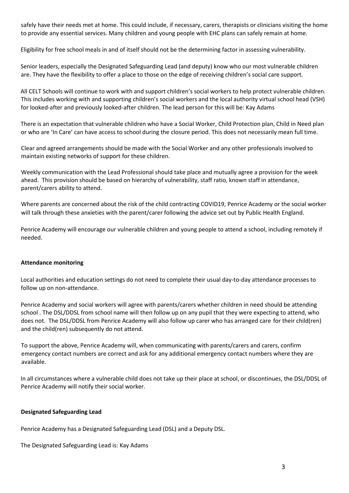safely have their needs met at home. This could include, if necessary, carers, therapists or clinicians visiting the home to provide any essential services. Many children and young people with EHC plans can safely remain at home.

Eligibility for free school meals in and of itself should not be the determining factor in assessing vulnerability.

Senior leaders, especially the Designated Safeguarding Lead (and deputy) know who our most vulnerable children are. They have the flexibility to offer a place to those on the edge of receiving children's social care support.

All CELT Schools will continue to work with and support children's social workers to help protect vulnerable children. This includes working with and supporting children's social workers and the local authority virtual school head (VSH) for looked-after and previously looked-after children. The lead person for this will be: Kay Adams

There is an expectation that vulnerable children who have a Social Worker, Child Protection plan, Child in Need plan or who are 'In Care' can have access to school during the closure period. This does not necessarily mean full time.

Clear and agreed arrangements should be made with the Social Worker and any other professionals involved to maintain existing networks of support for these children.

Weekly communication with the Lead Professional should take place and mutually agree a provision for the week ahead. This provision should be based on hierarchy of vulnerability, staff ratio, known staff in attendance, parent/carers ability to attend.

Where parents are concerned about the risk of the child contracting COVID19, Penrice Academy or the social worker will talk through these anxieties with the parent/carer following the advice set out by Public Health England.

Penrice Academy will encourage our vulnerable children and young people to attend a school, including remotely if needed.

## **Attendance monitoring**

Local authorities and education settings do not need to complete their usual day-to-day attendance processes to follow up on non-attendance.

Penrice Academy and social workers will agree with parents/carers whether children in need should be attending school . The DSL/DDSL from school name will then follow up on any pupil that they were expecting to attend, who does not. The DSL/DDSL from Penrice Academy will also follow up carer who has arranged care for their child(ren) and the child(ren) subsequently do not attend.

To support the above, Penrice Academy will, when communicating with parents/carers and carers, confirm emergency contact numbers are correct and ask for any additional emergency contact numbers where they are available.

In all circumstances where a vulnerable child does not take up their place at school, or discontinues, the DSL/DDSL of Penrice Academy will notify their social worker.

#### **Designated Safeguarding Lead**

Penrice Academy has a Designated Safeguarding Lead (DSL) and a Deputy DSL.

The Designated Safeguarding Lead is: Kay Adams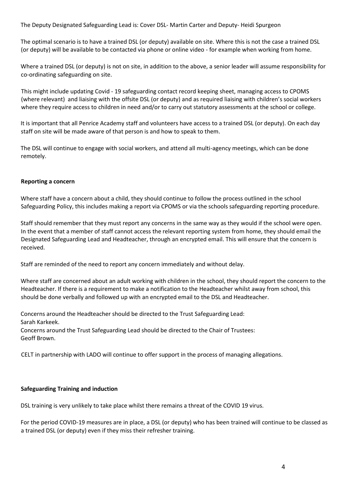The Deputy Designated Safeguarding Lead is: Cover DSL- Martin Carter and Deputy- Heidi Spurgeon

The optimal scenario is to have a trained DSL (or deputy) available on site. Where this is not the case a trained DSL (or deputy) will be available to be contacted via phone or online video - for example when working from home.

Where a trained DSL (or deputy) is not on site, in addition to the above, a senior leader will assume responsibility for co-ordinating safeguarding on site.

This might include updating Covid - 19 safeguarding contact record keeping sheet, managing access to CPOMS (where relevant) and liaising with the offsite DSL (or deputy) and as required liaising with children's social workers where they require access to children in need and/or to carry out statutory assessments at the school or college.

It is important that all Penrice Academy staff and volunteers have access to a trained DSL (or deputy). On each day staff on site will be made aware of that person is and how to speak to them.

The DSL will continue to engage with social workers, and attend all multi-agency meetings, which can be done remotely.

## **Reporting a concern**

Where staff have a concern about a child, they should continue to follow the process outlined in the school Safeguarding Policy, this includes making a report via CPOMS or via the schools safeguarding reporting procedure.

Staff should remember that they must report any concerns in the same way as they would if the school were open. In the event that a member of staff cannot access the relevant reporting system from home, they should email the Designated Safeguarding Lead and Headteacher, through an encrypted email. This will ensure that the concern is received.

Staff are reminded of the need to report any concern immediately and without delay.

Where staff are concerned about an adult working with children in the school, they should report the concern to the Headteacher. If there is a requirement to make a notification to the Headteacher whilst away from school, this should be done verbally and followed up with an encrypted email to the DSL and Headteacher.

Concerns around the Headteacher should be directed to the Trust Safeguarding Lead: Sarah Karkeek. Concerns around the Trust Safeguarding Lead should be directed to the Chair of Trustees: Geoff Brown.

CELT in partnership with LADO will continue to offer support in the process of managing allegations.

## **Safeguarding Training and induction**

DSL training is very unlikely to take place whilst there remains a threat of the COVID 19 virus.

For the period COVID-19 measures are in place, a DSL (or deputy) who has been trained will continue to be classed as a trained DSL (or deputy) even if they miss their refresher training.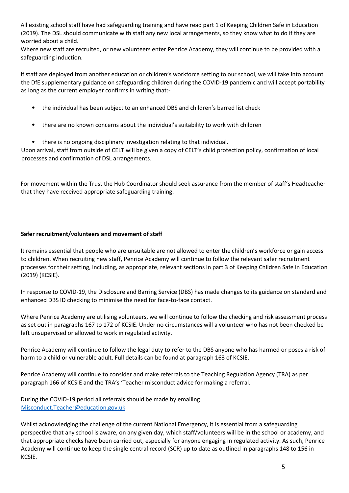All existing school staff have had safeguarding training and have read part 1 of Keeping Children Safe in Education (2019). The DSL should communicate with staff any new local arrangements, so they know what to do if they are worried about a child.

Where new staff are recruited, or new volunteers enter Penrice Academy, they will continue to be provided with a safeguarding induction.

If staff are deployed from another education or children's workforce setting to our school, we will take into account the DfE supplementary guidance on safeguarding children during the COVID-19 pandemic and will accept portability as long as the current employer confirms in writing that:-

- the individual has been subject to an enhanced DBS and children's barred list check
- there are no known concerns about the individual's suitability to work with children
- there is no ongoing disciplinary investigation relating to that individual.

Upon arrival, staff from outside of CELT will be given a copy of CELT's child protection policy, confirmation of local processes and confirmation of DSL arrangements.

For movement within the Trust the Hub Coordinator should seek assurance from the member of staff's Headteacher that they have received appropriate safeguarding training.

## **Safer recruitment/volunteers and movement of staff**

It remains essential that people who are unsuitable are not allowed to enter the children's workforce or gain access to children. When recruiting new staff, Penrice Academy will continue to follow the relevant safer recruitment processes for their setting, including, as appropriate, relevant sections in part 3 of Keeping Children Safe in Education (2019) (KCSIE).

In response to COVID-19, the Disclosure and Barring Service (DBS) has made changes to its guidance on standard and enhanced DBS ID checking to minimise the need for face-to-face contact.

Where Penrice Academy are utilising volunteers, we will continue to follow the checking and risk assessment process as set out in paragraphs 167 to 172 of KCSIE. Under no circumstances will a volunteer who has not been checked be left unsupervised or allowed to work in regulated activity.

Penrice Academy will continue to follow the legal duty to refer to the DBS anyone who has harmed or poses a risk of harm to a child or vulnerable adult. Full details can be found at paragraph 163 of KCSIE.

Penrice Academy will continue to consider and make referrals to the Teaching Regulation Agency (TRA) as per paragraph 166 of KCSIE and the TRA's 'Teacher misconduct advice for making a referral.

During the COVID-19 period all referrals should be made by emailing Misconduct.Teacher@education.gov.uk

Whilst acknowledging the challenge of the current National Emergency, it is essential from a safeguarding perspective that any school is aware, on any given day, which staff/volunteers will be in the school or academy, and that appropriate checks have been carried out, especially for anyone engaging in regulated activity. As such, Penrice Academy will continue to keep the single central record (SCR) up to date as outlined in paragraphs 148 to 156 in KCSIE.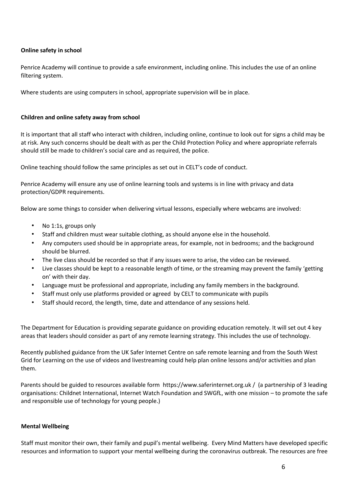## **Online safety in school**

Penrice Academy will continue to provide a safe environment, including online. This includes the use of an online filtering system.

Where students are using computers in school, appropriate supervision will be in place.

## **Children and online safety away from school**

It is important that all staff who interact with children, including online, continue to look out for signs a child may be at risk. Any such concerns should be dealt with as per the Child Protection Policy and where appropriate referrals should still be made to children's social care and as required, the police.

Online teaching should follow the same principles as set out in CELT's code of conduct.

Penrice Academy will ensure any use of online learning tools and systems is in line with privacy and data protection/GDPR requirements.

Below are some things to consider when delivering virtual lessons, especially where webcams are involved:

- No 1:1s, groups only
- Staff and children must wear suitable clothing, as should anyone else in the household.
- Any computers used should be in appropriate areas, for example, not in bedrooms; and the background should be blurred.
- The live class should be recorded so that if any issues were to arise, the video can be reviewed.
- Live classes should be kept to a reasonable length of time, or the streaming may prevent the family 'getting on' with their day.
- Language must be professional and appropriate, including any family members in the background.
- Staff must only use platforms provided or agreed by CELT to communicate with pupils
- Staff should record, the length, time, date and attendance of any sessions held.

The Department for Education is providing separate guidance on providing education remotely. It will set out 4 key areas that leaders should consider as part of any remote learning strategy. This includes the use of technology.

Recently published [guidance from the UK Safer Internet Centre on safe remote learning](https://swgfl.org.uk/resources/safe-remote-learning/) and from the [South West](https://static.lgfl.net/LgflNet/downloads/digisafe/Safe-Lessons-by-Video-and-Livestream.pdf)  [Grid for Learning on the use of videos and livestreaming](https://static.lgfl.net/LgflNet/downloads/digisafe/Safe-Lessons-by-Video-and-Livestream.pdf) could help plan online lessons and/or activities and plan them.

Parents should be guided to resources available form [https://www.saferinternet.org.uk](https://www.saferinternet.org.uk/) / (a partnership of 3 leading organisations: Childnet International, Internet Watch Foundation and SWGfL, with one mission – to promote the safe and responsible use of technology for young people.)

## **Mental Wellbeing**

Staff must monitor their own, their family and pupil's mental wellbeing. Every Mind Matters have developed specific resources and information to support your mental wellbeing during the coronavirus outbreak. The resources are free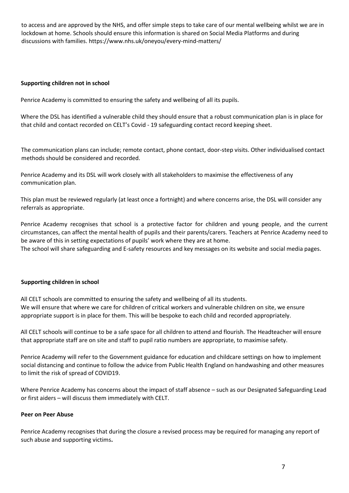to access and are approved by the NHS, and offer simple steps to take care of our mental wellbeing whilst we are in lockdown at home. Schools should ensure this information is shared on Social Media Platforms and during discussions with families[. https://www.nhs.uk/oneyou/every-mind-matters/](https://www.nhs.uk/oneyou/every-mind-matters/)

## **Supporting children not in school**

Penrice Academy is committed to ensuring the safety and wellbeing of all its pupils.

Where the DSL has identified a vulnerable child they should ensure that a robust communication plan is in place for that child and contact recorded on CELT's Covid - 19 safeguarding contact record keeping sheet.

The communication plans can include; remote contact, phone contact, door-step visits. Other individualised contact methods should be considered and recorded.

Penrice Academy and its DSL will work closely with all stakeholders to maximise the effectiveness of any communication plan.

This plan must be reviewed regularly (at least once a fortnight) and where concerns arise, the DSL will consider any referrals as appropriate.

Penrice Academy recognises that school is a protective factor for children and young people, and the current circumstances, can affect the mental health of pupils and their parents/carers. Teachers at Penrice Academy need to be aware of this in setting expectations of pupils' work where they are at home.

The school will share safeguarding and E-safety resources and key messages on its website and social media pages.

## **Supporting children in school**

All CELT schools are committed to ensuring the safety and wellbeing of all its students. We will ensure that where we care for children of critical workers and vulnerable children on site, we ensure appropriate support is in place for them. This will be bespoke to each child and recorded appropriately.

All CELT schools will continue to be a safe space for all children to attend and flourish. The Headteacher will ensure that appropriate staff are on site and staff to pupil ratio numbers are appropriate, to maximise safety.

Penrice Academy will refer to the Government guidance for education and childcare settings on how to implement social distancing and continue to follow the advice from Public Health England on handwashing and other measures to limit the risk of spread of COVID19.

Where Penrice Academy has concerns about the impact of staff absence – such as our Designated Safeguarding Lead or first aiders – will discuss them immediately with CELT.

## **Peer on Peer Abuse**

Penrice Academy recognises that during the closure a revised process may be required for managing any report of such abuse and supporting victims**.**